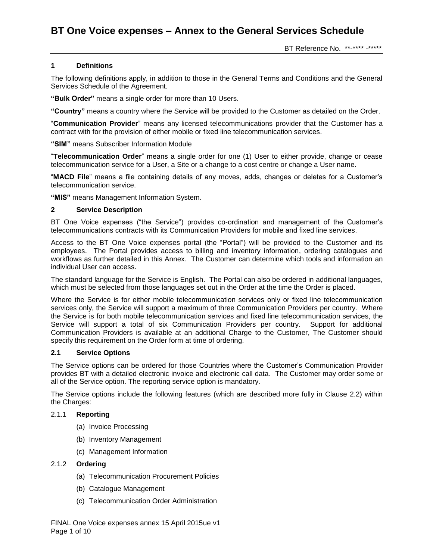## **1 Definitions**

The following definitions apply, in addition to those in the General Terms and Conditions and the General Services Schedule of the Agreement.

**"Bulk Order"** means a single order for more than 10 Users.

**"Country"** means a country where the Service will be provided to the Customer as detailed on the Order.

"**Communication Provider**" means any licensed telecommunications provider that the Customer has a contract with for the provision of either mobile or fixed line telecommunication services.

**"SIM"** means Subscriber Information Module

"**Telecommunication Order**" means a single order for one (1) User to either provide, change or cease telecommunication service for a User, a Site or a change to a cost centre or change a User name.

"**MACD File**" means a file containing details of any moves, adds, changes or deletes for a Customer's telecommunication service.

**"MIS"** means Management Information System.

#### **2 Service Description**

BT One Voice expenses ("the Service") provides co-ordination and management of the Customer's telecommunications contracts with its Communication Providers for mobile and fixed line services.

Access to the BT One Voice expenses portal (the "Portal") will be provided to the Customer and its employees. The Portal provides access to billing and inventory information, ordering catalogues and workflows as further detailed in this Annex. The Customer can determine which tools and information an individual User can access.

The standard language for the Service is English. The Portal can also be ordered in additional languages, which must be selected from those languages set out in the Order at the time the Order is placed.

Where the Service is for either mobile telecommunication services only or fixed line telecommunication services only, the Service will support a maximum of three Communication Providers per country. Where the Service is for both mobile telecommunication services and fixed line telecommunication services, the Service will support a total of six Communication Providers per country. Support for additional Communication Providers is available at an additional Charge to the Customer, The Customer should specify this requirement on the Order form at time of ordering.

## **2.1 Service Options**

The Service options can be ordered for those Countries where the Customer's Communication Provider provides BT with a detailed electronic invoice and electronic call data. The Customer may order some or all of the Service option. The reporting service option is mandatory.

The Service options include the following features (which are described more fully in Clause 2.2) within the Charges:

#### 2.1.1 **Reporting**

- (a) Invoice Processing
- (b) Inventory Management
- (c) Management Information

### 2.1.2 **Ordering**

- (a) Telecommunication Procurement Policies
- (b) Catalogue Management
- (c) Telecommunication Order Administration

FINAL One Voice expenses annex 15 April 2015ue v1 Page 1 of 10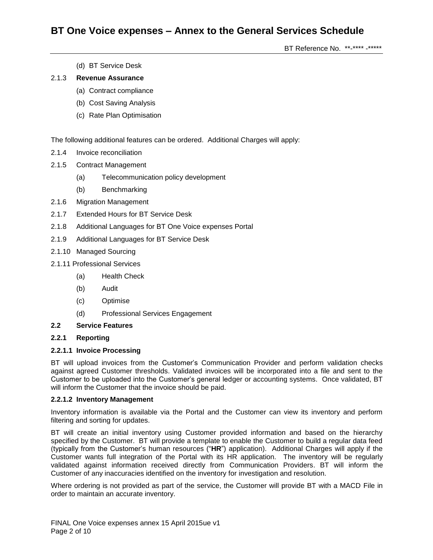(d) BT Service Desk

## 2.1.3 **Revenue Assurance**

- (a) Contract compliance
- (b) Cost Saving Analysis
- (c) Rate Plan Optimisation

The following additional features can be ordered. Additional Charges will apply:

- 2.1.4 Invoice reconciliation
- 2.1.5 Contract Management
	- (a) Telecommunication policy development
	- (b) Benchmarking
- 2.1.6 Migration Management
- 2.1.7 Extended Hours for BT Service Desk
- 2.1.8 Additional Languages for BT One Voice expenses Portal
- 2.1.9 Additional Languages for BT Service Desk
- 2.1.10 Managed Sourcing
- 2.1.11 Professional Services
	- (a) Health Check
	- (b) Audit
	- (c) Optimise
	- (d) Professional Services Engagement

#### **2.2 Service Features**

## **2.2.1 Reporting**

#### **2.2.1.1 Invoice Processing**

BT will upload invoices from the Customer's Communication Provider and perform validation checks against agreed Customer thresholds. Validated invoices will be incorporated into a file and sent to the Customer to be uploaded into the Customer's general ledger or accounting systems. Once validated, BT will inform the Customer that the invoice should be paid.

#### **2.2.1.2 Inventory Management**

Inventory information is available via the Portal and the Customer can view its inventory and perform filtering and sorting for updates.

BT will create an initial inventory using Customer provided information and based on the hierarchy specified by the Customer. BT will provide a template to enable the Customer to build a regular data feed (typically from the Customer's human resources ("**HR**") application). Additional Charges will apply if the Customer wants full integration of the Portal with its HR application. The inventory will be regularly validated against information received directly from Communication Providers. BT will inform the Customer of any inaccuracies identified on the inventory for investigation and resolution.

Where ordering is not provided as part of the service, the Customer will provide BT with a MACD File in order to maintain an accurate inventory.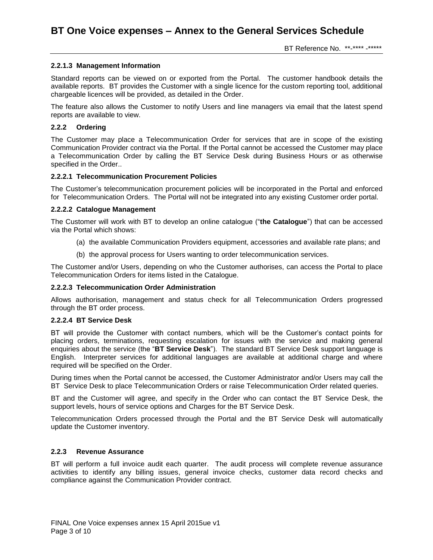## **2.2.1.3 Management Information**

Standard reports can be viewed on or exported from the Portal. The customer handbook details the available reports. BT provides the Customer with a single licence for the custom reporting tool, additional chargeable licences will be provided, as detailed in the Order.

The feature also allows the Customer to notify Users and line managers via email that the latest spend reports are available to view.

#### **2.2.2 Ordering**

The Customer may place a Telecommunication Order for services that are in scope of the existing Communication Provider contract via the Portal. If the Portal cannot be accessed the Customer may place a Telecommunication Order by calling the BT Service Desk during Business Hours or as otherwise specified in the Order..

## **2.2.2.1 Telecommunication Procurement Policies**

The Customer's telecommunication procurement policies will be incorporated in the Portal and enforced for Telecommunication Orders. The Portal will not be integrated into any existing Customer order portal.

#### **2.2.2.2 Catalogue Management**

The Customer will work with BT to develop an online catalogue ("**the Catalogue**") that can be accessed via the Portal which shows:

- (a) the available Communication Providers equipment, accessories and available rate plans; and
- (b) the approval process for Users wanting to order telecommunication services.

The Customer and/or Users, depending on who the Customer authorises, can access the Portal to place Telecommunication Orders for items listed in the Catalogue.

#### **2.2.2.3 Telecommunication Order Administration**

Allows authorisation, management and status check for all Telecommunication Orders progressed through the BT order process.

#### **2.2.2.4 BT Service Desk**

BT will provide the Customer with contact numbers, which will be the Customer's contact points for placing orders, terminations, requesting escalation for issues with the service and making general enquiries about the service (the "**BT Service Desk**"). The standard BT Service Desk support language is English. Interpreter services for additional languages are available at additional charge and where required will be specified on the Order.

During times when the Portal cannot be accessed, the Customer Administrator and/or Users may call the BT Service Desk to place Telecommunication Orders or raise Telecommunication Order related queries.

BT and the Customer will agree, and specify in the Order who can contact the BT Service Desk, the support levels, hours of service options and Charges for the BT Service Desk.

Telecommunication Orders processed through the Portal and the BT Service Desk will automatically update the Customer inventory.

## **2.2.3 Revenue Assurance**

BT will perform a full invoice audit each quarter. The audit process will complete revenue assurance activities to identify any billing issues, general invoice checks, customer data record checks and compliance against the Communication Provider contract.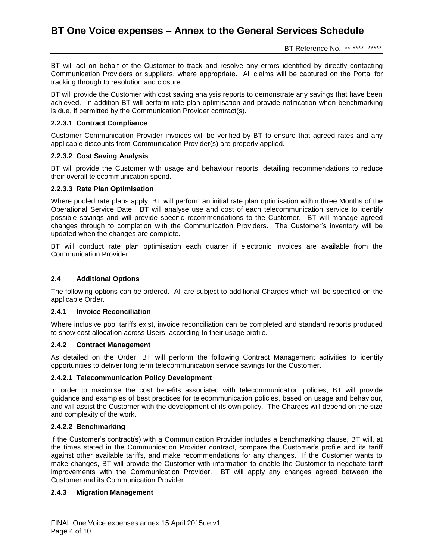BT will act on behalf of the Customer to track and resolve any errors identified by directly contacting Communication Providers or suppliers, where appropriate. All claims will be captured on the Portal for tracking through to resolution and closure.

BT will provide the Customer with cost saving analysis reports to demonstrate any savings that have been achieved. In addition BT will perform rate plan optimisation and provide notification when benchmarking is due, if permitted by the Communication Provider contract(s).

### **2.2.3.1 Contract Compliance**

Customer Communication Provider invoices will be verified by BT to ensure that agreed rates and any applicable discounts from Communication Provider(s) are properly applied.

## **2.2.3.2 Cost Saving Analysis**

BT will provide the Customer with usage and behaviour reports, detailing recommendations to reduce their overall telecommunication spend.

## **2.2.3.3 Rate Plan Optimisation**

Where pooled rate plans apply, BT will perform an initial rate plan optimisation within three Months of the Operational Service Date. BT will analyse use and cost of each telecommunication service to identify possible savings and will provide specific recommendations to the Customer. BT will manage agreed changes through to completion with the Communication Providers. The Customer's inventory will be updated when the changes are complete.

BT will conduct rate plan optimisation each quarter if electronic invoices are available from the Communication Provider

## **2.4 Additional Options**

The following options can be ordered. All are subject to additional Charges which will be specified on the applicable Order.

#### **2.4.1 Invoice Reconciliation**

Where inclusive pool tariffs exist, invoice reconciliation can be completed and standard reports produced to show cost allocation across Users, according to their usage profile.

#### **2.4.2 Contract Management**

As detailed on the Order, BT will perform the following Contract Management activities to identify opportunities to deliver long term telecommunication service savings for the Customer.

#### **2.4.2.1 Telecommunication Policy Development**

In order to maximise the cost benefits associated with telecommunication policies, BT will provide guidance and examples of best practices for telecommunication policies, based on usage and behaviour, and will assist the Customer with the development of its own policy. The Charges will depend on the size and complexity of the work.

#### **2.4.2.2 Benchmarking**

If the Customer's contract(s) with a Communication Provider includes a benchmarking clause, BT will, at the times stated in the Communication Provider contract, compare the Customer's profile and its tariff against other available tariffs, and make recommendations for any changes. If the Customer wants to make changes, BT will provide the Customer with information to enable the Customer to negotiate tariff improvements with the Communication Provider. BT will apply any changes agreed between the Customer and its Communication Provider.

## **2.4.3 Migration Management**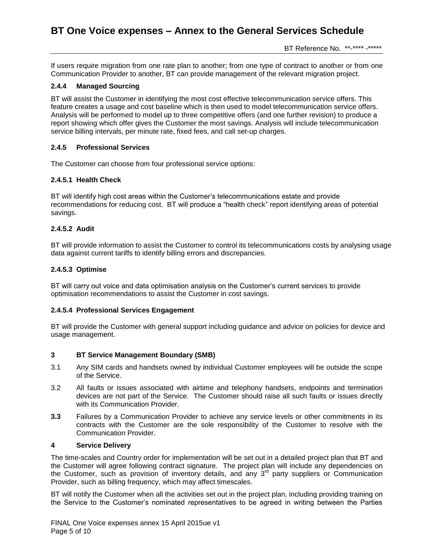If users require migration from one rate plan to another; from one type of contract to another or from one Communication Provider to another, BT can provide management of the relevant migration project.

## **2.4.4 Managed Sourcing**

BT will assist the Customer in identifying the most cost effective telecommunication service offers. This feature creates a usage and cost baseline which is then used to model telecommunication service offers. Analysis will be performed to model up to three competitive offers (and one further revision) to produce a report showing which offer gives the Customer the most savings. Analysis will include telecommunication service billing intervals, per minute rate, fixed fees, and call set-up charges.

## **2.4.5 Professional Services**

The Customer can choose from four professional service options:

## **2.4.5.1 Health Check**

BT will identify high cost areas within the Customer's telecommunications estate and provide recommendations for reducing cost. BT will produce a "health check" report identifying areas of potential savings.

## **2.4.5.2 Audit**

BT will provide information to assist the Customer to control its telecommunications costs by analysing usage data against current tariffs to identify billing errors and discrepancies.

#### **2.4.5.3 Optimise**

BT will carry out voice and data optimisation analysis on the Customer's current services to provide optimisation recommendations to assist the Customer in cost savings.

#### **2.4.5.4 Professional Services Engagement**

BT will provide the Customer with general support including guidance and advice on policies for device and usage management.

#### **3 BT Service Management Boundary (SMB)**

- 3.1 Any SIM cards and handsets owned by individual Customer employees will be outside the scope of the Service.
- 3.2 All faults or issues associated with airtime and telephony handsets, endpoints and termination devices are not part of the Service. The Customer should raise all such faults or issues directly with its Communication Provider.
- **3.3** Failures by a Communication Provider to achieve any service levels or other commitments in its contracts with the Customer are the sole responsibility of the Customer to resolve with the Communication Provider.

### **4 Service Delivery**

The time-scales and Country order for implementation will be set out in a detailed project plan that BT and the Customer will agree following contract signature. The project plan will include any dependencies on the Customer, such as provision of inventory details, and any  $3<sup>rd</sup>$  party suppliers or Communication Provider, such as billing frequency, which may affect timescales.

BT will notify the Customer when all the activities set out in the project plan, including providing training on the Service to the Customer's nominated representatives to be agreed in writing between the Parties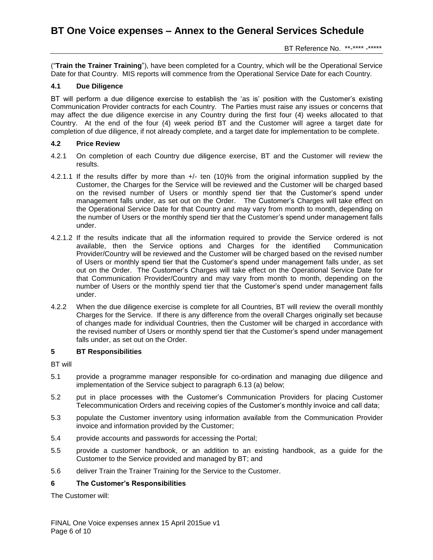("**Train the Trainer Training**"), have been completed for a Country, which will be the Operational Service Date for that Country. MIS reports will commence from the Operational Service Date for each Country.

## **4.1 Due Diligence**

BT will perform a due diligence exercise to establish the 'as is' position with the Customer's existing Communication Provider contracts for each Country. The Parties must raise any issues or concerns that may affect the due diligence exercise in any Country during the first four (4) weeks allocated to that Country. At the end of the four (4) week period BT and the Customer will agree a target date for completion of due diligence, if not already complete, and a target date for implementation to be complete.

#### **4.2 Price Review**

- 4.2.1 On completion of each Country due diligence exercise, BT and the Customer will review the results.
- 4.2.1.1 If the results differ by more than +/- ten (10)% from the original information supplied by the Customer, the Charges for the Service will be reviewed and the Customer will be charged based on the revised number of Users or monthly spend tier that the Customer's spend under management falls under, as set out on the Order. The Customer's Charges will take effect on the Operational Service Date for that Country and may vary from month to month, depending on the number of Users or the monthly spend tier that the Customer's spend under management falls under.
- 4.2.1.2 If the results indicate that all the information required to provide the Service ordered is not available, then the Service options and Charges for the identified Communication Provider/Country will be reviewed and the Customer will be charged based on the revised number of Users or monthly spend tier that the Customer's spend under management falls under, as set out on the Order. The Customer's Charges will take effect on the Operational Service Date for that Communication Provider/Country and may vary from month to month, depending on the number of Users or the monthly spend tier that the Customer's spend under management falls under.
- 4.2.2 When the due diligence exercise is complete for all Countries, BT will review the overall monthly Charges for the Service. If there is any difference from the overall Charges originally set because of changes made for individual Countries, then the Customer will be charged in accordance with the revised number of Users or monthly spend tier that the Customer's spend under management falls under, as set out on the Order.

#### **5 BT Responsibilities**

BT will

- 5.1 provide a programme manager responsible for co-ordination and managing due diligence and implementation of the Service subject to paragraph 6.13 (a) below;
- 5.2 put in place processes with the Customer's Communication Providers for placing Customer Telecommunication Orders and receiving copies of the Customer's monthly invoice and call data;
- 5.3 populate the Customer inventory using information available from the Communication Provider invoice and information provided by the Customer;
- 5.4 provide accounts and passwords for accessing the Portal;
- 5.5 provide a customer handbook, or an addition to an existing handbook, as a guide for the Customer to the Service provided and managed by BT; and
- 5.6 deliver Train the Trainer Training for the Service to the Customer.

## **6 The Customer's Responsibilities**

The Customer will: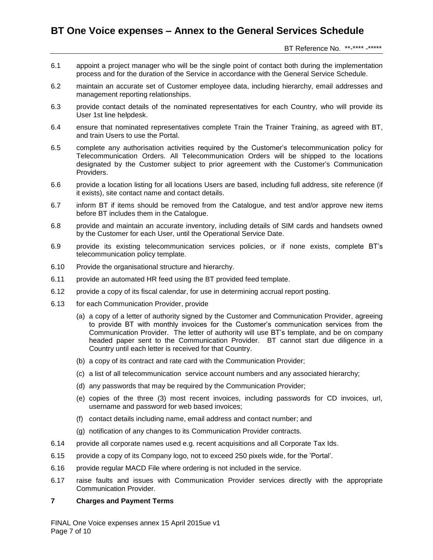- 6.1 appoint a project manager who will be the single point of contact both during the implementation process and for the duration of the Service in accordance with the General Service Schedule.
- 6.2 maintain an accurate set of Customer employee data, including hierarchy, email addresses and management reporting relationships.
- 6.3 provide contact details of the nominated representatives for each Country, who will provide its User 1st line helpdesk.
- 6.4 ensure that nominated representatives complete Train the Trainer Training, as agreed with BT, and train Users to use the Portal.
- 6.5 complete any authorisation activities required by the Customer's telecommunication policy for Telecommunication Orders. All Telecommunication Orders will be shipped to the locations designated by the Customer subject to prior agreement with the Customer's Communication Providers.
- 6.6 provide a location listing for all locations Users are based, including full address, site reference (if it exists), site contact name and contact details.
- 6.7 inform BT if items should be removed from the Catalogue, and test and/or approve new items before BT includes them in the Catalogue.
- 6.8 provide and maintain an accurate inventory, including details of SIM cards and handsets owned by the Customer for each User, until the Operational Service Date.
- 6.9 provide its existing telecommunication services policies, or if none exists, complete BT's telecommunication policy template.
- 6.10 Provide the organisational structure and hierarchy.
- 6.11 provide an automated HR feed using the BT provided feed template.
- 6.12 provide a copy of its fiscal calendar, for use in determining accrual report posting.
- 6.13 for each Communication Provider, provide
	- (a) a copy of a letter of authority signed by the Customer and Communication Provider, agreeing to provide BT with monthly invoices for the Customer's communication services from the Communication Provider. The letter of authority will use BT's template, and be on company headed paper sent to the Communication Provider. BT cannot start due diligence in a Country until each letter is received for that Country.
	- (b) a copy of its contract and rate card with the Communication Provider;
	- (c) a list of all telecommunication service account numbers and any associated hierarchy;
	- (d) any passwords that may be required by the Communication Provider;
	- (e) copies of the three (3) most recent invoices, including passwords for CD invoices, url, username and password for web based invoices;
	- (f) contact details including name, email address and contact number; and
	- (g) notification of any changes to its Communication Provider contracts.
- 6.14 provide all corporate names used e.g. recent acquisitions and all Corporate Tax Ids.
- 6.15 provide a copy of its Company logo, not to exceed 250 pixels wide, for the 'Portal'.
- 6.16 provide regular MACD File where ordering is not included in the service.
- 6.17 raise faults and issues with Communication Provider services directly with the appropriate Communication Provider.
- **7 Charges and Payment Terms**

FINAL One Voice expenses annex 15 April 2015ue v1 Page 7 of 10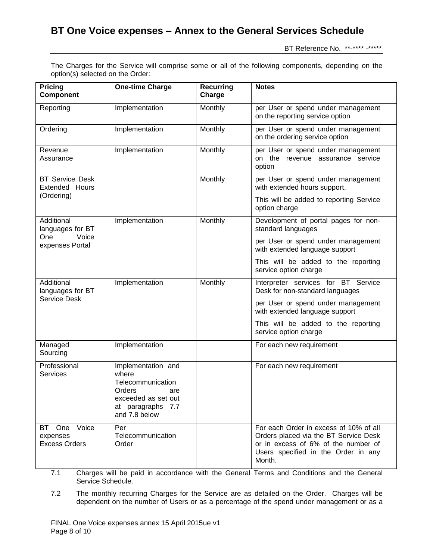BT Reference No. \*\*-\*\*\*\* -\*\*\*\*\*

The Charges for the Service will comprise some or all of the following components, depending on the option(s) selected on the Order:

| Pricing<br><b>Component</b>                      | <b>One-time Charge</b>                                                                                                         | <b>Recurring</b><br>Charge | <b>Notes</b>                                                                                                                                                            |
|--------------------------------------------------|--------------------------------------------------------------------------------------------------------------------------------|----------------------------|-------------------------------------------------------------------------------------------------------------------------------------------------------------------------|
| Reporting                                        | Implementation                                                                                                                 | Monthly                    | per User or spend under management<br>on the reporting service option                                                                                                   |
| Ordering                                         | Implementation                                                                                                                 | Monthly                    | per User or spend under management<br>on the ordering service option                                                                                                    |
| Revenue<br>Assurance                             | Implementation                                                                                                                 | Monthly                    | per User or spend under management<br>on the revenue assurance service<br>option                                                                                        |
| <b>BT Service Desk</b><br><b>Extended Hours</b>  |                                                                                                                                | Monthly                    | per User or spend under management<br>with extended hours support,                                                                                                      |
| (Ordering)                                       |                                                                                                                                |                            | This will be added to reporting Service<br>option charge                                                                                                                |
| Additional<br>languages for BT                   | Implementation                                                                                                                 | Monthly                    | Development of portal pages for non-<br>standard languages                                                                                                              |
| One<br>Voice<br>expenses Portal                  |                                                                                                                                |                            | per User or spend under management<br>with extended language support                                                                                                    |
|                                                  |                                                                                                                                |                            | This will be added to the reporting<br>service option charge                                                                                                            |
| Additional<br>languages for BT                   | Implementation                                                                                                                 | Monthly                    | Interpreter services for BT Service<br>Desk for non-standard languages                                                                                                  |
| <b>Service Desk</b>                              |                                                                                                                                |                            | per User or spend under management<br>with extended language support                                                                                                    |
|                                                  |                                                                                                                                |                            | This will be added to the reporting<br>service option charge                                                                                                            |
| Managed<br>Sourcing                              | Implementation                                                                                                                 |                            | For each new requirement                                                                                                                                                |
| Professional<br><b>Services</b>                  | Implementation and<br>where<br>Telecommunication<br>Orders<br>are<br>exceeded as set out<br>at paragraphs 7.7<br>and 7.8 below |                            | For each new requirement                                                                                                                                                |
| BT One Voice<br>expenses<br><b>Excess Orders</b> | Per<br>Telecommunication<br>Order                                                                                              |                            | For each Order in excess of 10% of all<br>Orders placed via the BT Service Desk<br>or in excess of 6% of the number of<br>Users specified in the Order in any<br>Month. |

7.1 Charges will be paid in accordance with the General Terms and Conditions and the General Service Schedule.

7.2 The monthly recurring Charges for the Service are as detailed on the Order. Charges will be dependent on the number of Users or as a percentage of the spend under management or as a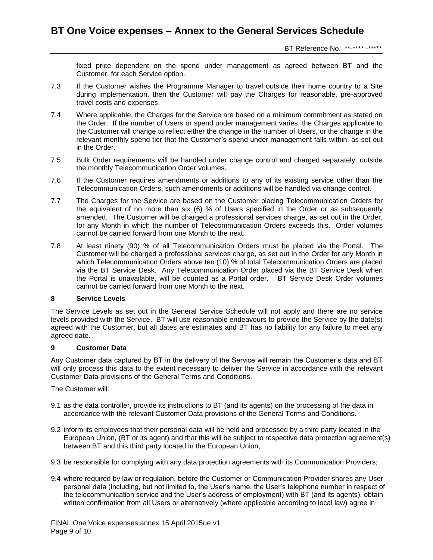BT Reference No. \*\*-\*\*\*\* -\*\*\*\*\*

fixed price dependent on the spend under management as agreed between BT and the Customer, for each Service option.

- 7.3 If the Customer wishes the Programme Manager to travel outside their home country to a Site during implementation, then the Customer will pay the Charges for reasonable, pre-approved travel costs and expenses.
- 7.4 Where applicable, the Charges for the Service are based on a minimum commitment as stated on the Order. If the number of Users or spend under management varies, the Charges applicable to the Customer will change to reflect either the change in the number of Users, or the change in the relevant monthly spend tier that the Customer's spend under management falls within, as set out in the Order.
- 7.5 Bulk Order requirements will be handled under change control and charged separately, outside the monthly Telecommunication Order volumes.
- 7.6 If the Customer requires amendments or additions to any of its existing service other than the Telecommunication Orders, such amendments or additions will be handled via change control.
- 7.7 The Charges for the Service are based on the Customer placing Telecommunication Orders for the equivalent of no more than six (6) % of Users specified in the Order or as subsequently amended. The Customer will be charged a professional services charge, as set out in the Order, for any Month in which the number of Telecommunication Orders exceeds this. Order volumes cannot be carried forward from one Month to the next.
- 7.8 At least ninety (90) % of all Telecommunication Orders must be placed via the Portal. The Customer will be charged a professional services charge, as set out in the Order for any Month in which Telecommunication Orders above ten (10) % of total Telecommunication Orders are placed via the BT Service Desk. Any Telecommunication Order placed via the BT Service Desk when the Portal is unavailable, will be counted as a Portal order. BT Service Desk Order volumes cannot be carried forward from one Month to the next.

#### **8 Service Levels**

The Service Levels as set out in the General Service Schedule will not apply and there are no service levels provided with the Service. BT will use reasonable endeavours to provide the Service by the date(s) agreed with the Customer, but all dates are estimates and BT has no liability for any failure to meet any agreed date.

#### **9 Customer Data**

Any Customer data captured by BT in the delivery of the Service will remain the Customer's data and BT will only process this data to the extent necessary to deliver the Service in accordance with the relevant Customer Data provisions of the General Terms and Conditions.

The Customer will:

- 9.1 as the data controller, provide its instructions to BT (and its agents) on the processing of the data in accordance with the relevant Customer Data provisions of the General Terms and Conditions.
- 9.2 inform its employees that their personal data will be held and processed by a third party located in the European Union, (BT or its agent) and that this will be subject to respective data protection agreement(s) between BT and this third party located in the European Union;
- 9.3 be responsible for complying with any data protection agreements with its Communication Providers;
- 9.4 where required by law or regulation, before the Customer or Communication Provider shares any User personal data (including, but not limited to, the User's name, the User's telephone number in respect of the telecommunication service and the User's address of employment) with BT (and its agents), obtain written confirmation from all Users or alternatively (where applicable according to local law) agree in